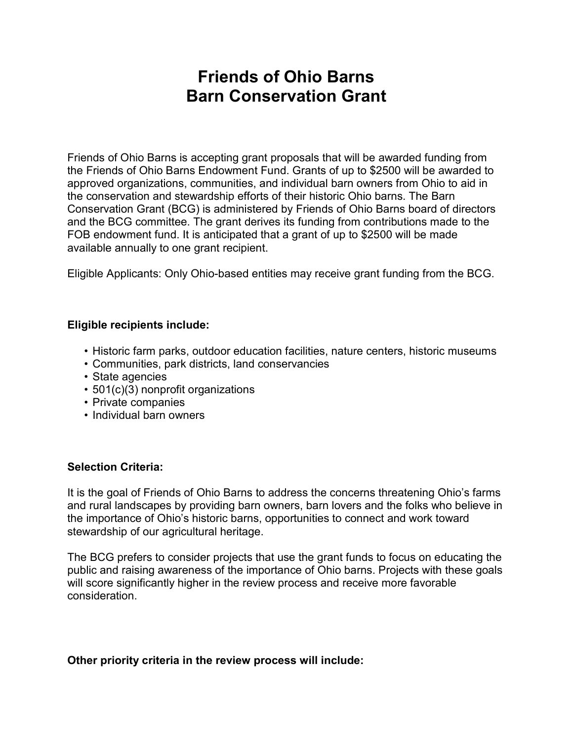# Friends of Ohio Barns Barn Conservation Grant

Friends of Ohio Barns is accepting grant proposals that will be awarded funding from the Friends of Ohio Barns Endowment Fund. Grants of up to \$2500 will be awarded to approved organizations, communities, and individual barn owners from Ohio to aid in the conservation and stewardship efforts of their historic Ohio barns. The Barn Conservation Grant (BCG) is administered by Friends of Ohio Barns board of directors and the BCG committee. The grant derives its funding from contributions made to the FOB endowment fund. It is anticipated that a grant of up to \$2500 will be made available annually to one grant recipient.

Eligible Applicants: Only Ohio-based entities may receive grant funding from the BCG.

#### Eligible recipients include:

- Historic farm parks, outdoor education facilities, nature centers, historic museums
- Communities, park districts, land conservancies
- State agencies
- 501(c)(3) nonprofit organizations
- Private companies
- Individual barn owners

#### Selection Criteria:

It is the goal of Friends of Ohio Barns to address the concerns threatening Ohio's farms and rural landscapes by providing barn owners, barn lovers and the folks who believe in the importance of Ohio's historic barns, opportunities to connect and work toward stewardship of our agricultural heritage.

The BCG prefers to consider projects that use the grant funds to focus on educating the public and raising awareness of the importance of Ohio barns. Projects with these goals will score significantly higher in the review process and receive more favorable consideration.

#### Other priority criteria in the review process will include: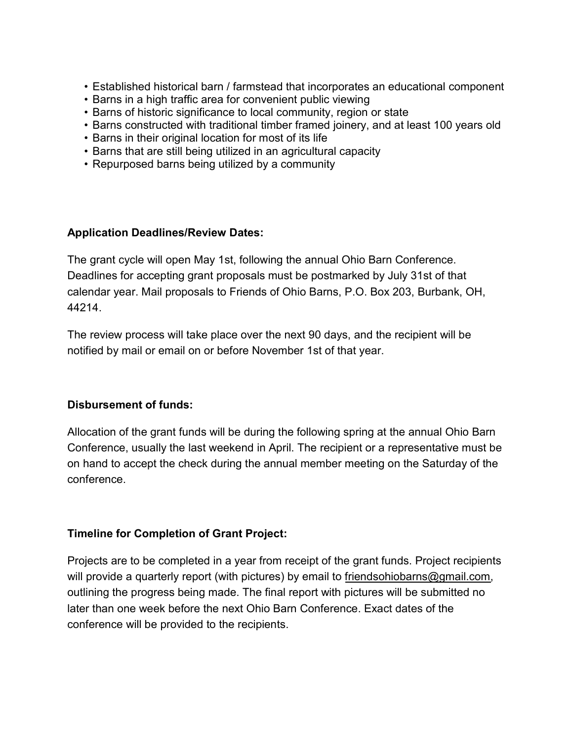- Established historical barn / farmstead that incorporates an educational component
- Barns in a high traffic area for convenient public viewing
- Barns of historic significance to local community, region or state
- Barns constructed with traditional timber framed joinery, and at least 100 years old
- Barns in their original location for most of its life
- Barns that are still being utilized in an agricultural capacity
- Repurposed barns being utilized by a community

#### Application Deadlines/Review Dates:

The grant cycle will open May 1st, following the annual Ohio Barn Conference. Deadlines for accepting grant proposals must be postmarked by July 31st of that calendar year. Mail proposals to Friends of Ohio Barns, P.O. Box 203, Burbank, OH, 44214.

The review process will take place over the next 90 days, and the recipient will be notified by mail or email on or before November 1st of that year.

#### Disbursement of funds:

Allocation of the grant funds will be during the following spring at the annual Ohio Barn Conference, usually the last weekend in April. The recipient or a representative must be on hand to accept the check during the annual member meeting on the Saturday of the conference.

## Timeline for Completion of Grant Project:

Projects are to be completed in a year from receipt of the grant funds. Project recipients will provide a quarterly report (with pictures) by email to friendsohiobarns@gmail.com, outlining the progress being made. The final report with pictures will be submitted no later than one week before the next Ohio Barn Conference. Exact dates of the conference will be provided to the recipients.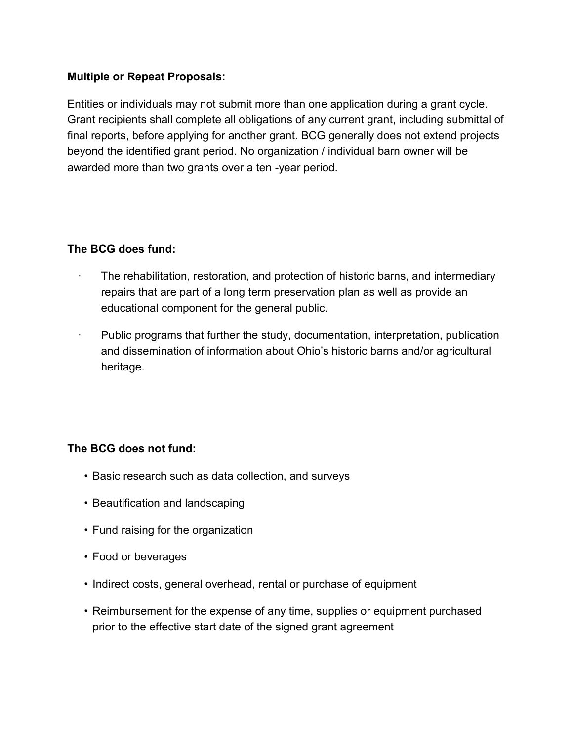## Multiple or Repeat Proposals:

Entities or individuals may not submit more than one application during a grant cycle. Grant recipients shall complete all obligations of any current grant, including submittal of final reports, before applying for another grant. BCG generally does not extend projects beyond the identified grant period. No organization / individual barn owner will be awarded more than two grants over a ten -year period.

## The BCG does fund:

- The rehabilitation, restoration, and protection of historic barns, and intermediary repairs that are part of a long term preservation plan as well as provide an educational component for the general public.
- Public programs that further the study, documentation, interpretation, publication and dissemination of information about Ohio's historic barns and/or agricultural heritage.

## The BCG does not fund:

- Basic research such as data collection, and surveys
- Beautification and landscaping
- Fund raising for the organization
- Food or beverages
- Indirect costs, general overhead, rental or purchase of equipment
- Reimbursement for the expense of any time, supplies or equipment purchased prior to the effective start date of the signed grant agreement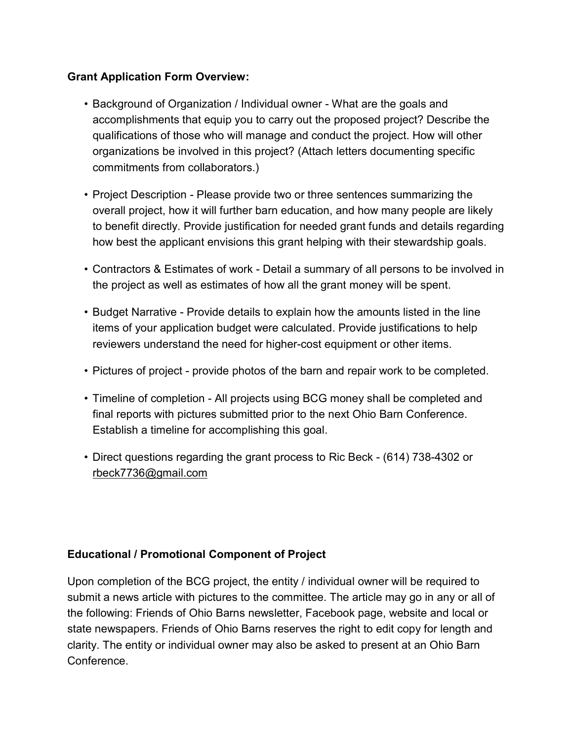# Grant Application Form Overview:

- Background of Organization / Individual owner What are the goals and accomplishments that equip you to carry out the proposed project? Describe the qualifications of those who will manage and conduct the project. How will other organizations be involved in this project? (Attach letters documenting specific commitments from collaborators.)
- Project Description Please provide two or three sentences summarizing the overall project, how it will further barn education, and how many people are likely to benefit directly. Provide justification for needed grant funds and details regarding how best the applicant envisions this grant helping with their stewardship goals.
- Contractors & Estimates of work Detail a summary of all persons to be involved in the project as well as estimates of how all the grant money will be spent.
- Budget Narrative Provide details to explain how the amounts listed in the line items of your application budget were calculated. Provide justifications to help reviewers understand the need for higher-cost equipment or other items.
- Pictures of project provide photos of the barn and repair work to be completed.
- Timeline of completion All projects using BCG money shall be completed and final reports with pictures submitted prior to the next Ohio Barn Conference. Establish a timeline for accomplishing this goal.
- Direct questions regarding the grant process to Ric Beck (614) 738-4302 or rbeck7736@gmail.com

## Educational / Promotional Component of Project

Upon completion of the BCG project, the entity / individual owner will be required to submit a news article with pictures to the committee. The article may go in any or all of the following: Friends of Ohio Barns newsletter, Facebook page, website and local or state newspapers. Friends of Ohio Barns reserves the right to edit copy for length and clarity. The entity or individual owner may also be asked to present at an Ohio Barn **Conference**